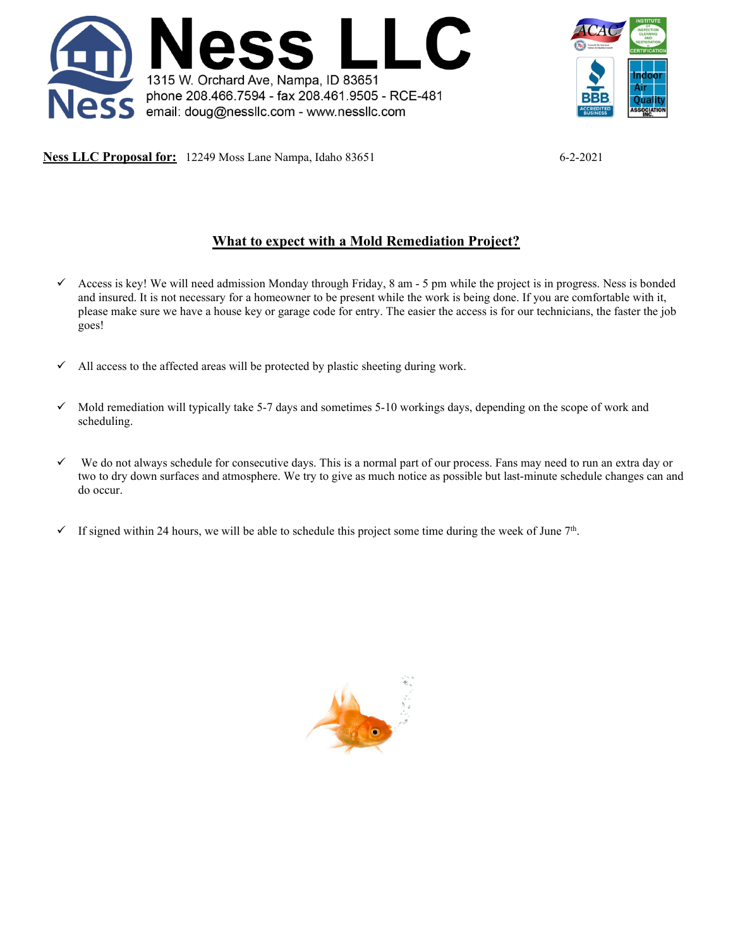



**Ness LLC Proposal for:** 12249 Moss Lane Nampa, Idaho 83651 6-2-2021

# **What to expect with a Mold Remediation Project?**

- $\checkmark$  Access is key! We will need admission Monday through Friday, 8 am 5 pm while the project is in progress. Ness is bonded and insured. It is not necessary for a homeowner to be present while the work is being done. If you are comfortable with it, please make sure we have a house key or garage code for entry. The easier the access is for our technicians, the faster the job goes!
- $\checkmark$  All access to the affected areas will be protected by plastic sheeting during work.
- $\checkmark$  Mold remediation will typically take 5-7 days and sometimes 5-10 workings days, depending on the scope of work and scheduling.
- $\checkmark$  We do not always schedule for consecutive days. This is a normal part of our process. Fans may need to run an extra day or two to dry down surfaces and atmosphere. We try to give as much notice as possible but last-minute schedule changes can and do occur.
- $\checkmark$  If signed within 24 hours, we will be able to schedule this project some time during the week of June 7<sup>th</sup>.

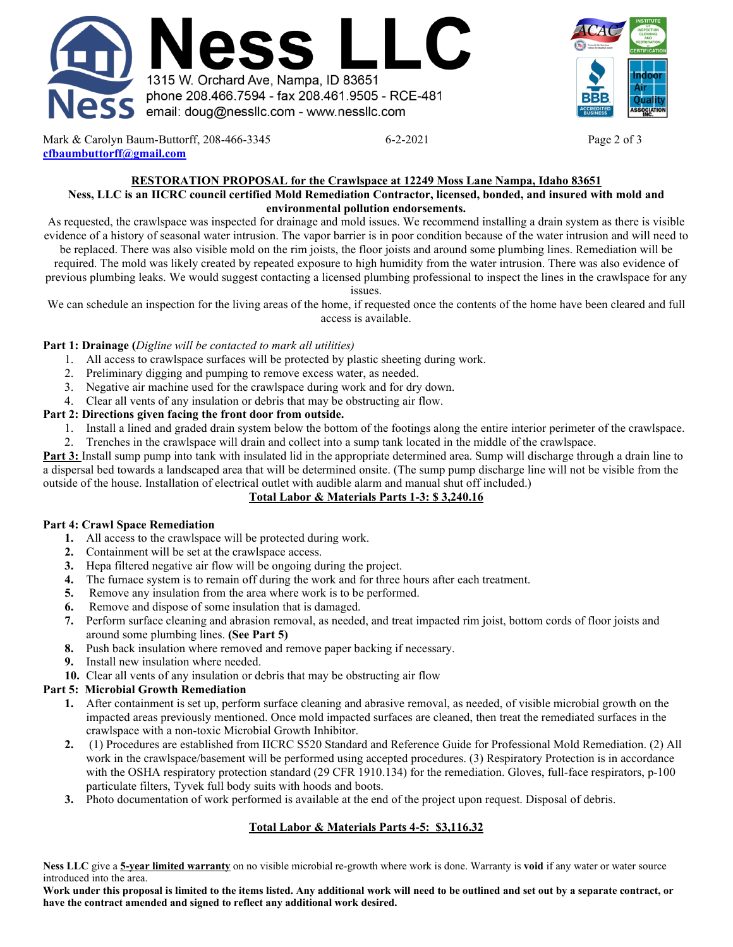



Mark & Carolyn Baum-Buttorff, 208-466-3345 6-2-2021 Page 2 of 3 **[cfbaumbuttorff@gmail.com](mailto:cfbaumbuttorff@gmail.com)**

#### **RESTORATION PROPOSAL for the Crawlspace at 12249 Moss Lane Nampa, Idaho 83651 Ness, LLC is an IICRC council certified Mold Remediation Contractor, licensed, bonded, and insured with mold and environmental pollution endorsements.**

As requested, the crawlspace was inspected for drainage and mold issues. We recommend installing a drain system as there is visible evidence of a history of seasonal water intrusion. The vapor barrier is in poor condition because of the water intrusion and will need to

be replaced. There was also visible mold on the rim joists, the floor joists and around some plumbing lines. Remediation will be required. The mold was likely created by repeated exposure to high humidity from the water intrusion. There was also evidence of previous plumbing leaks. We would suggest contacting a licensed plumbing professional to inspect the lines in the crawlspace for any

issues.

We can schedule an inspection for the living areas of the home, if requested once the contents of the home have been cleared and full access is available.

## **Part 1: Drainage (***Digline will be contacted to mark all utilities)*

- 1. All access to crawlspace surfaces will be protected by plastic sheeting during work.
- 2. Preliminary digging and pumping to remove excess water, as needed.
- 3. Negative air machine used for the crawlspace during work and for dry down.
- 4. Clear all vents of any insulation or debris that may be obstructing air flow.

## **Part 2: Directions given facing the front door from outside.**

- 1. Install a lined and graded drain system below the bottom of the footings along the entire interior perimeter of the crawlspace.
- 2. Trenches in the crawlspace will drain and collect into a sump tank located in the middle of the crawlspace.

**Part 3:** Install sump pump into tank with insulated lid in the appropriate determined area. Sump will discharge through a drain line to a dispersal bed towards a landscaped area that will be determined onsite. (The sump pump discharge line will not be visible from the outside of the house. Installation of electrical outlet with audible alarm and manual shut off included.)

## **Total Labor & Materials Parts 1-3: \$ 3,240.16**

## **Part 4: Crawl Space Remediation**

- **1.** All access to the crawlspace will be protected during work.
- **2.** Containment will be set at the crawlspace access.
- **3.** Hepa filtered negative air flow will be ongoing during the project.
- **4.** The furnace system is to remain off during the work and for three hours after each treatment.
- **5.** Remove any insulation from the area where work is to be performed.
- **6.** Remove and dispose of some insulation that is damaged.
- **7.** Perform surface cleaning and abrasion removal, as needed, and treat impacted rim joist, bottom cords of floor joists and around some plumbing lines. **(See Part 5)**
- **8.** Push back insulation where removed and remove paper backing if necessary.
- **9.** Install new insulation where needed.
- **10.** Clear all vents of any insulation or debris that may be obstructing air flow

## **Part 5: Microbial Growth Remediation**

- **1.** After containment is set up, perform surface cleaning and abrasive removal, as needed, of visible microbial growth on the impacted areas previously mentioned. Once mold impacted surfaces are cleaned, then treat the remediated surfaces in the crawlspace with a non-toxic Microbial Growth Inhibitor.
- **2.** (1) Procedures are established from IICRC S520 Standard and Reference Guide for Professional Mold Remediation. (2) All work in the crawlspace/basement will be performed using accepted procedures. (3) Respiratory Protection is in accordance with the OSHA respiratory protection standard (29 CFR 1910.134) for the remediation. Gloves, full-face respirators, p-100 particulate filters, Tyvek full body suits with hoods and boots.
- **3.** Photo documentation of work performed is available at the end of the project upon request. Disposal of debris.

## **Total Labor & Materials Parts 4-5: \$3,116.32**

**Ness LLC** give a **5-year limited warranty** on no visible microbial re-growth where work is done. Warranty is **void** if any water or water source introduced into the area.

**Work under this proposal is limited to the items listed. Any additional work will need to be outlined and set out by a separate contract, or have the contract amended and signed to reflect any additional work desired.**